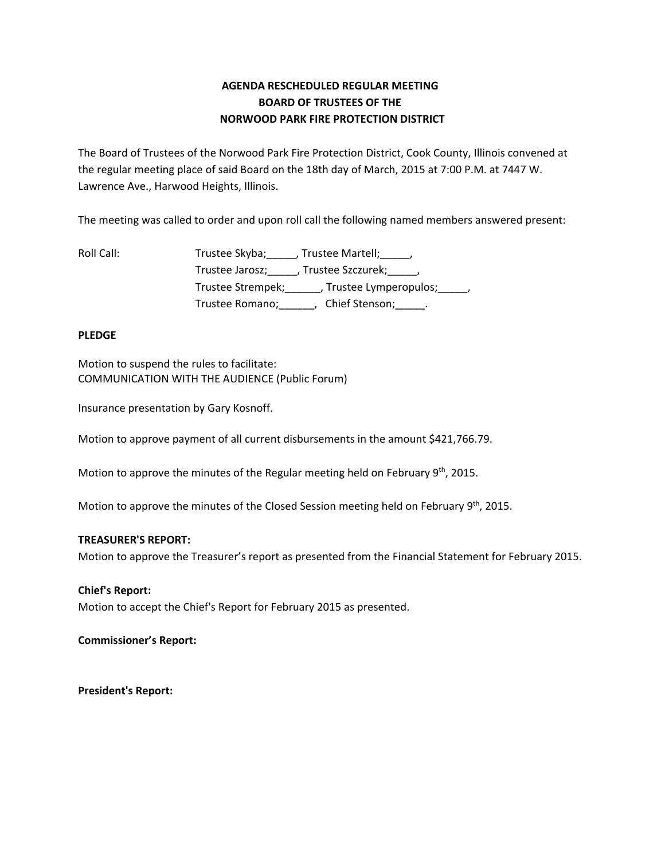# **AGENDA RESCHEDULED REGULAR MEETING BOARD OF TRUSTEES OF THE NORWOOD PARK FIRE PROTECTION DISTRICT**

The Board of Trustees of the Norwood Park Fire Protection District, Cook County, Illinois convened at the regular meeting place of said Board on the 18th day of March, 2015 at 7:00 P.M. at 7447 W. Lawrence Ave., Harwood Heights, Illinois.

The meeting was called to order and upon roll call the following named members answered present:

Roll Call: Trustee Skyba; Frustee Martell; Trustee Jarosz; J. Trustee Szczurek; J. Trustee Strempek;\_\_\_\_\_\_, Trustee Lymperopulos;\_\_\_\_\_, Trustee Romano;\_\_\_\_\_\_, Chief Stenson;\_\_\_\_\_.

# **PLEDGE**

Motion to suspend the rules to facilitate: COMMUNICATION WITH THE AUDIENCE (Public Forum)

Insurance presentation by Gary Kosnoff.

Motion to approve payment of all current disbursements in the amount \$421,766.79.

Motion to approve the minutes of the Regular meeting held on February  $9<sup>th</sup>$ , 2015.

Motion to approve the minutes of the Closed Session meeting held on February  $9<sup>th</sup>$ , 2015.

## **TREASURER'S REPORT:**

Motion to approve the Treasurer's report as presented from the Financial Statement for February 2015.

## **Chief's Report:**

Motion to accept the Chief's Report for February 2015 as presented.

**Commissioner's Report:**

**President's Report:**